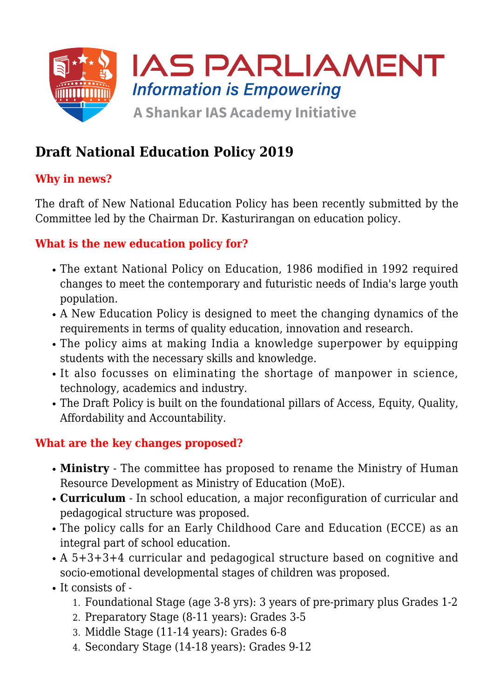

# **Draft National Education Policy 2019**

## **Why in news?**

The draft of New National Education Policy has been recently submitted by the Committee led by the Chairman Dr. Kasturirangan on education policy.

### **What is the new education policy for?**

- The extant National Policy on Education, 1986 modified in 1992 required changes to meet the contemporary and futuristic needs of India's large youth population.
- A New Education Policy is designed to meet the changing dynamics of the requirements in terms of quality education, innovation and research.
- The policy aims at making India a knowledge superpower by equipping students with the necessary skills and knowledge.
- It also focusses on eliminating the shortage of manpower in science, technology, academics and industry.
- The Draft Policy is built on the foundational pillars of Access, Equity, Quality, Affordability and Accountability.

#### **What are the key changes proposed?**

- **Ministry** The committee has proposed to rename the Ministry of Human Resource Development as Ministry of Education (MoE).
- **Curriculum** In school education, a major reconfiguration of curricular and pedagogical structure was proposed.
- The policy calls for an Early Childhood Care and Education (ECCE) as an integral part of school education.
- A 5+3+3+4 curricular and pedagogical structure based on cognitive and socio-emotional developmental stages of children was proposed.
- $\bullet$  It consists of -
	- 1. Foundational Stage (age 3-8 yrs): 3 years of pre-primary plus Grades 1-2
	- 2. Preparatory Stage (8-11 years): Grades 3-5
	- 3. Middle Stage (11-14 years): Grades 6-8
	- 4. Secondary Stage (14-18 years): Grades 9-12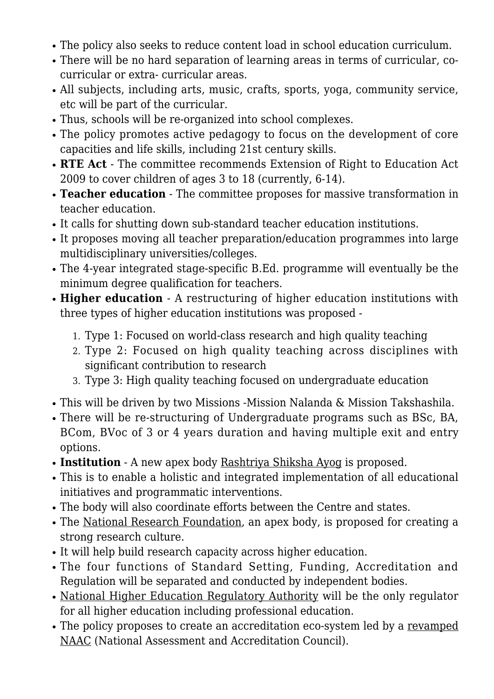- The policy also seeks to reduce content load in school education curriculum.
- There will be no hard separation of learning areas in terms of curricular, cocurricular or extra- curricular areas.
- All subjects, including arts, music, crafts, sports, yoga, community service, etc will be part of the curricular.
- Thus, schools will be re-organized into school complexes.
- The policy promotes active pedagogy to focus on the development of core capacities and life skills, including 21st century skills.
- **RTE Act** The committee recommends Extension of Right to Education Act 2009 to cover children of ages 3 to 18 (currently, 6-14).
- **Teacher education** The committee proposes for massive transformation in teacher education.
- It calls for shutting down sub-standard teacher education institutions.
- It proposes moving all teacher preparation/education programmes into large multidisciplinary universities/colleges.
- The 4-year integrated stage-specific B.Ed. programme will eventually be the minimum degree qualification for teachers.
- **Higher education** A restructuring of higher education institutions with three types of higher education institutions was proposed -
	- 1. Type 1: Focused on world-class research and high quality teaching
	- 2. Type 2: Focused on high quality teaching across disciplines with significant contribution to research
	- 3. Type 3: High quality teaching focused on undergraduate education
- This will be driven by two Missions -Mission Nalanda & Mission Takshashila.
- There will be re-structuring of Undergraduate programs such as BSc, BA, BCom, BVoc of 3 or 4 years duration and having multiple exit and entry options.
- **Institution** A new apex body Rashtriya Shiksha Ayog is proposed.
- This is to enable a holistic and integrated implementation of all educational initiatives and programmatic interventions.
- The body will also coordinate efforts between the Centre and states.
- The National Research Foundation, an apex body, is proposed for creating a strong research culture.
- It will help build research capacity across higher education.
- The four functions of Standard Setting, Funding, Accreditation and Regulation will be separated and conducted by independent bodies.
- National Higher Education Regulatory Authority will be the only regulator for all higher education including professional education.
- The policy proposes to create an accreditation eco-system led by a revamped NAAC (National Assessment and Accreditation Council).